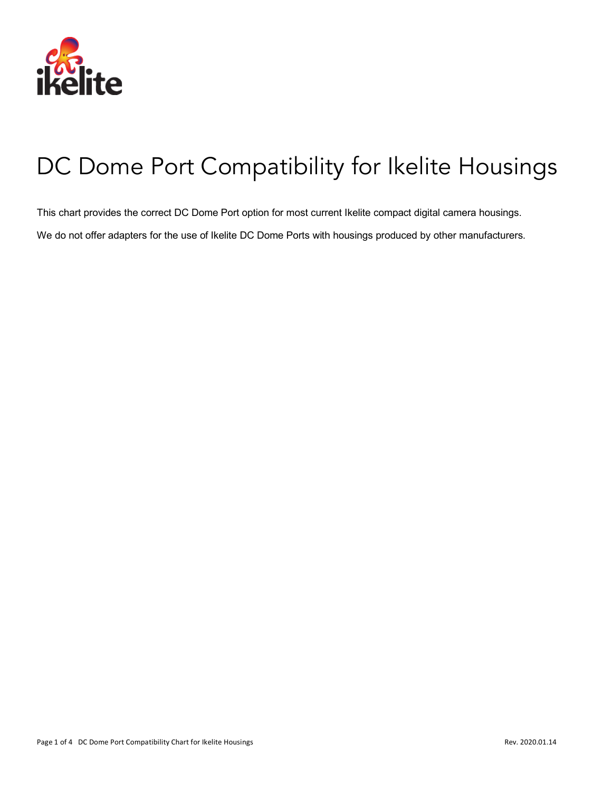

# DC Dome Port Compatibility for Ikelite Housings

This chart provides the correct DC Dome Port option for most current Ikelite compact digital camera housings.

We do not offer adapters for the use of Ikelite DC Dome Ports with housings produced by other manufacturers.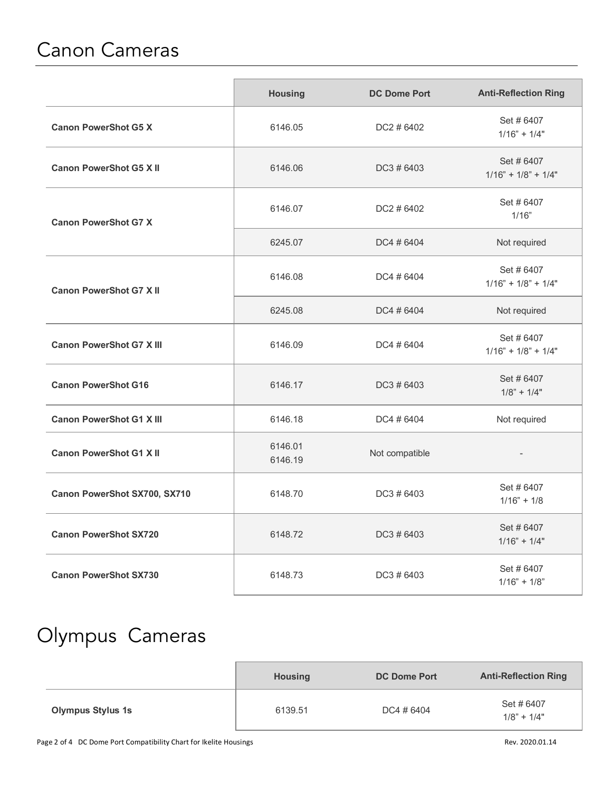#### Canon Cameras

|                                 | <b>Housing</b>     | <b>DC Dome Port</b> | <b>Anti-Reflection Ring</b>        |
|---------------------------------|--------------------|---------------------|------------------------------------|
| <b>Canon PowerShot G5 X</b>     | 6146.05            | DC2 # 6402          | Set #6407<br>$1/16" + 1/4"$        |
| <b>Canon PowerShot G5 X II</b>  | 6146.06            | DC3 # 6403          | Set #6407<br>$1/16" + 1/8" + 1/4"$ |
| <b>Canon PowerShot G7 X</b>     | 6146.07            | DC2 # 6402          | Set #6407<br>1/16"                 |
|                                 | 6245.07            | DC4 # 6404          | Not required                       |
| <b>Canon PowerShot G7 X II</b>  | 6146.08            | DC4 # 6404          | Set #6407<br>$1/16" + 1/8" + 1/4"$ |
|                                 | 6245.08            | DC4 # 6404          | Not required                       |
| <b>Canon PowerShot G7 X III</b> | 6146.09            | DC4 # 6404          | Set #6407<br>$1/16" + 1/8" + 1/4"$ |
| <b>Canon PowerShot G16</b>      | 6146.17            | DC3 # 6403          | Set #6407<br>$1/8" + 1/4"$         |
| <b>Canon PowerShot G1 X III</b> | 6146.18            | DC4 # 6404          | Not required                       |
| <b>Canon PowerShot G1 X II</b>  | 6146.01<br>6146.19 | Not compatible      |                                    |
| Canon PowerShot SX700, SX710    | 6148.70            | $DC3 \# 6403$       | Set #6407<br>$1/16" + 1/8$         |
| <b>Canon PowerShot SX720</b>    | 6148.72            | DC3 # 6403          | Set #6407<br>$1/16" + 1/4"$        |
| <b>Canon PowerShot SX730</b>    | 6148.73            | DC3 # 6403          | Set #6407<br>$1/16" + 1/8"$        |

## Olympus Cameras

|                          | <b>Housing</b> | <b>DC Dome Port</b> | <b>Anti-Reflection Ring</b> |
|--------------------------|----------------|---------------------|-----------------------------|
| <b>Olympus Stylus 1s</b> | 6139.51        | DC4 # 6404          | Set #6407<br>$1/8" + 1/4"$  |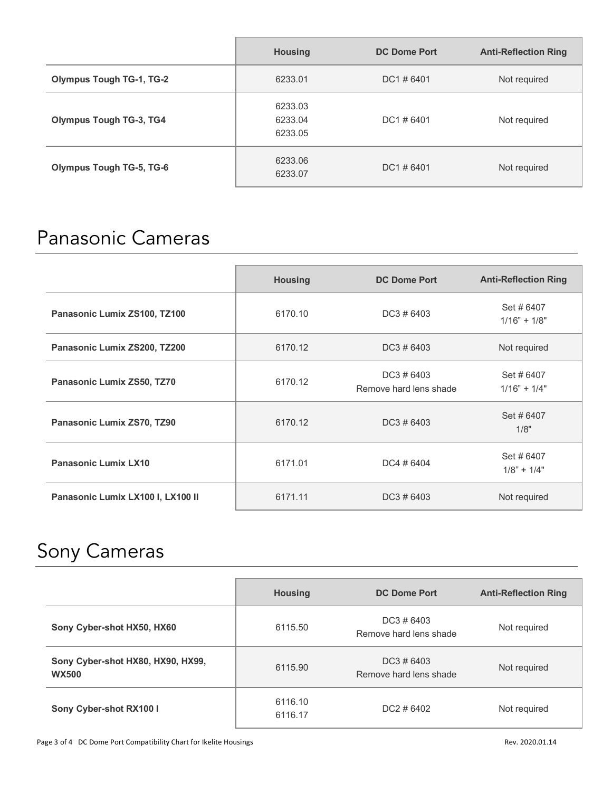|                                 | <b>Housing</b>                | <b>DC Dome Port</b> | <b>Anti-Reflection Ring</b> |
|---------------------------------|-------------------------------|---------------------|-----------------------------|
| <b>Olympus Tough TG-1, TG-2</b> | 6233.01                       | $DC1 \# 6401$       | Not required                |
| <b>Olympus Tough TG-3, TG4</b>  | 6233.03<br>6233.04<br>6233.05 | DC1#6401            | Not required                |
| <b>Olympus Tough TG-5, TG-6</b> | 6233.06<br>6233.07            | $DC1 \# 6401$       | Not required                |

### Panasonic Cameras

|                                   | <b>Housing</b> | <b>DC Dome Port</b>                  | <b>Anti-Reflection Ring</b> |
|-----------------------------------|----------------|--------------------------------------|-----------------------------|
| Panasonic Lumix ZS100, TZ100      | 6170.10        | $DC3 \# 6403$                        | Set #6407<br>$1/16" + 1/8"$ |
| Panasonic Lumix ZS200, TZ200      | 6170.12        | $DC3 \# 6403$                        | Not required                |
| Panasonic Lumix ZS50, TZ70        | 6170.12        | DC3 # 6403<br>Remove hard lens shade | Set #6407<br>$1/16" + 1/4"$ |
| Panasonic Lumix ZS70, TZ90        | 6170.12        | DC3 # 6403                           | Set #6407<br>1/8"           |
| <b>Panasonic Lumix LX10</b>       | 6171.01        | DC4 # 6404                           | Set #6407<br>$1/8" + 1/4"$  |
| Panasonic Lumix LX100 I, LX100 II | 6171.11        | $DC3 \# 6403$                        | Not required                |

### Sony Cameras

|                                                   | <b>Housing</b>     | <b>DC Dome Port</b>                     | <b>Anti-Reflection Ring</b> |
|---------------------------------------------------|--------------------|-----------------------------------------|-----------------------------|
| Sony Cyber-shot HX50, HX60                        | 6115.50            | $DC3 \# 6403$<br>Remove hard lens shade | Not required                |
| Sony Cyber-shot HX80, HX90, HX99,<br><b>WX500</b> | 6115.90            | $DC3 \# 6403$<br>Remove hard lens shade | Not required                |
| Sony Cyber-shot RX100 I                           | 6116.10<br>6116.17 | $DC2 \# 6402$                           | Not required                |